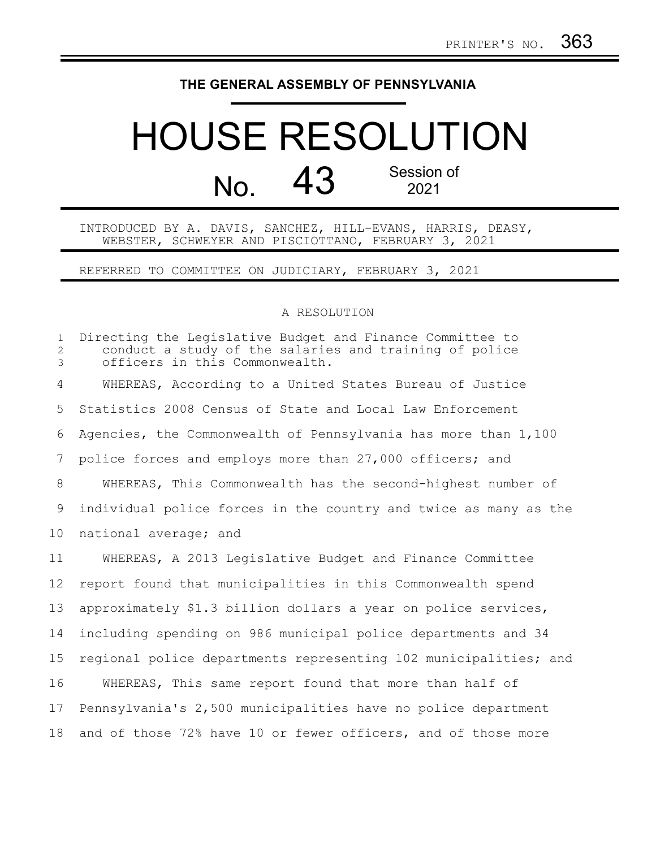## **THE GENERAL ASSEMBLY OF PENNSYLVANIA**

## HOUSE RESOLUTION  $N<sub>0</sub>$  43 Session of 2021

INTRODUCED BY A. DAVIS, SANCHEZ, HILL-EVANS, HARRIS, DEASY, WEBSTER, SCHWEYER AND PISCIOTTANO, FEBRUARY 3, 2021

REFERRED TO COMMITTEE ON JUDICIARY, FEBRUARY 3, 2021

## A RESOLUTION

Directing the Legislative Budget and Finance Committee to conduct a study of the salaries and training of police officers in this Commonwealth. WHEREAS, According to a United States Bureau of Justice Statistics 2008 Census of State and Local Law Enforcement Agencies, the Commonwealth of Pennsylvania has more than 1,100 police forces and employs more than 27,000 officers; and WHEREAS, This Commonwealth has the second-highest number of individual police forces in the country and twice as many as the national average; and WHEREAS, A 2013 Legislative Budget and Finance Committee report found that municipalities in this Commonwealth spend approximately \$1.3 billion dollars a year on police services, including spending on 986 municipal police departments and 34 regional police departments representing 102 municipalities; and WHEREAS, This same report found that more than half of Pennsylvania's 2,500 municipalities have no police department 1 2 3 4 5 6 7 8 9 10 11 12 13 14 15 16 17

and of those 72% have 10 or fewer officers, and of those more 18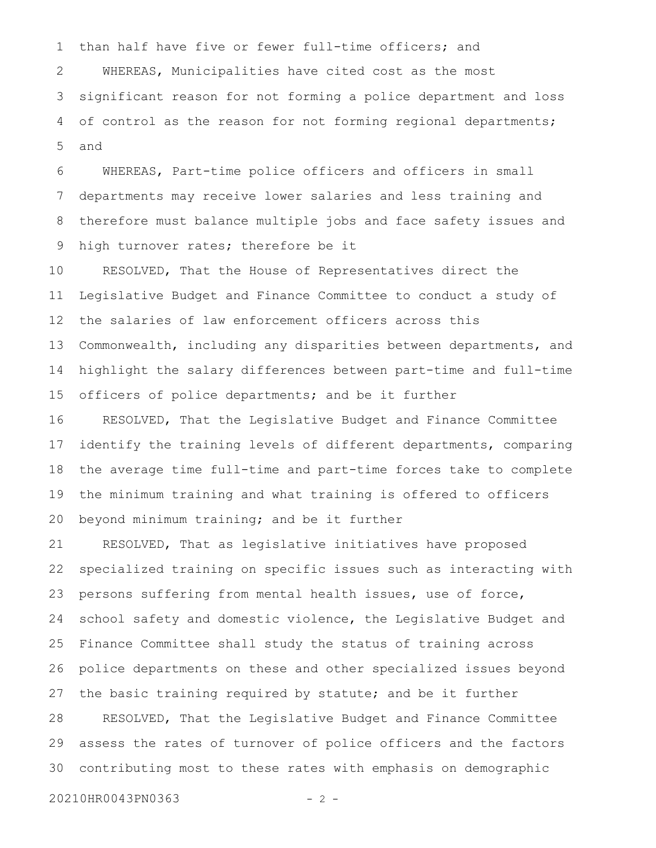than half have five or fewer full-time officers; and WHEREAS, Municipalities have cited cost as the most significant reason for not forming a police department and loss of control as the reason for not forming regional departments; and 1 2 3 4 5

WHEREAS, Part-time police officers and officers in small departments may receive lower salaries and less training and therefore must balance multiple jobs and face safety issues and high turnover rates; therefore be it 6 7 8 9

RESOLVED, That the House of Representatives direct the Legislative Budget and Finance Committee to conduct a study of the salaries of law enforcement officers across this Commonwealth, including any disparities between departments, and highlight the salary differences between part-time and full-time officers of police departments; and be it further 10 11 12 13 14 15

RESOLVED, That the Legislative Budget and Finance Committee identify the training levels of different departments, comparing the average time full-time and part-time forces take to complete the minimum training and what training is offered to officers beyond minimum training; and be it further 16 17 18 19 20

RESOLVED, That as legislative initiatives have proposed specialized training on specific issues such as interacting with persons suffering from mental health issues, use of force, school safety and domestic violence, the Legislative Budget and Finance Committee shall study the status of training across police departments on these and other specialized issues beyond the basic training required by statute; and be it further RESOLVED, That the Legislative Budget and Finance Committee assess the rates of turnover of police officers and the factors contributing most to these rates with emphasis on demographic 21 22 23 24 25 26 27 28 29 30

20210HR0043PN0363 - 2 -